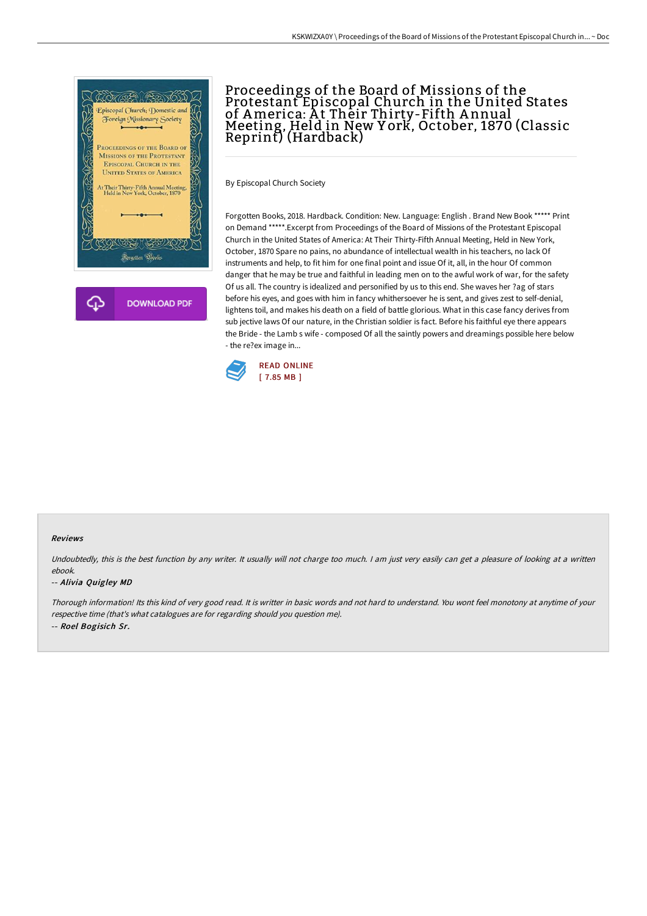

# Proceedings of the Board of Missions of the Protestant Episcopal Church in the United States of America: At Thèir Thirty-Fifth Annual Meeting, Held in New Y ork, October, 1870 (Classic Reprint) (Hardback)

By Episcopal Church Society

Forgotten Books, 2018. Hardback. Condition: New. Language: English . Brand New Book \*\*\*\*\* Print on Demand \*\*\*\*\*.Excerpt from Proceedings of the Board of Missions of the Protestant Episcopal Church in the United States of America: At Their Thirty-Fifth Annual Meeting, Held in New York, October, 1870 Spare no pains, no abundance of intellectual wealth in his teachers, no lack Of instruments and help, to fit him for one final point and issue Of it, all, in the hour Of common danger that he may be true and faithful in leading men on to the awful work of war, for the safety Of us all. The country is idealized and personified by us to this end. She waves her ?ag of stars before his eyes, and goes with him in fancy whithersoever he is sent, and gives zest to self-denial, lightens toil, and makes his death on a field of battle glorious. What in this case fancy derives from sub jective laws Of our nature, in the Christian soldier is fact. Before his faithful eye there appears the Bride - the Lamb s wife - composed Of all the saintly powers and dreamings possible here below - the re?ex image in...



#### Reviews

Undoubtedly, this is the best function by any writer. It usually will not charge too much. I am just very easily can get a pleasure of looking at a written ebook.

#### -- Alivia Quigley MD

Thorough information! Its this kind of very good read. It is writter in basic words and not hard to understand. You wont feel monotony at anytime of your respective time (that's what catalogues are for regarding should you question me). -- Roel Bogisich Sr.